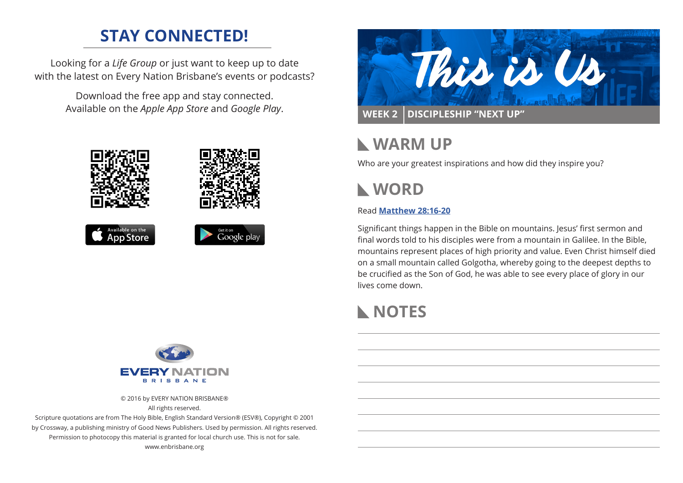# **STAY CONNECTED!**

Looking for a *Life Group* or just want to keep up to date with the latest on Every Nation Brisbane's events or podcasts?

> Download the free app and stay connected. Available on the *Apple App Store* and *Google Play*.





# **WARM UP**

Who are your greatest inspirations and how did they inspire you?



### Read **[Matthew 28:16-20](https://www.biblegateway.com/passage/?search=Matthew+28%3A16-20&version=ESV)**

Significant things happen in the Bible on mountains. Jesus' first sermon and final words told to his disciples were from a mountain in Galilee. In the Bible, mountains represent places of high priority and value. Even Christ himself died on a small mountain called Golgotha, whereby going to the deepest depths to be crucified as the Son of God, he was able to see every place of glory in our lives come down.

# **NOTES**



© 2016 by EVERY NATION BRISBANE® All rights reserved.

Scripture quotations are from The Holy Bible, English Standard Version® (ESV®), Copyright © 2001 by Crossway, a publishing ministry of Good News Publishers. Used by permission. All rights reserved. Permission to photocopy this material is granted for local church use. This is not for sale. www.enbrisbane.org